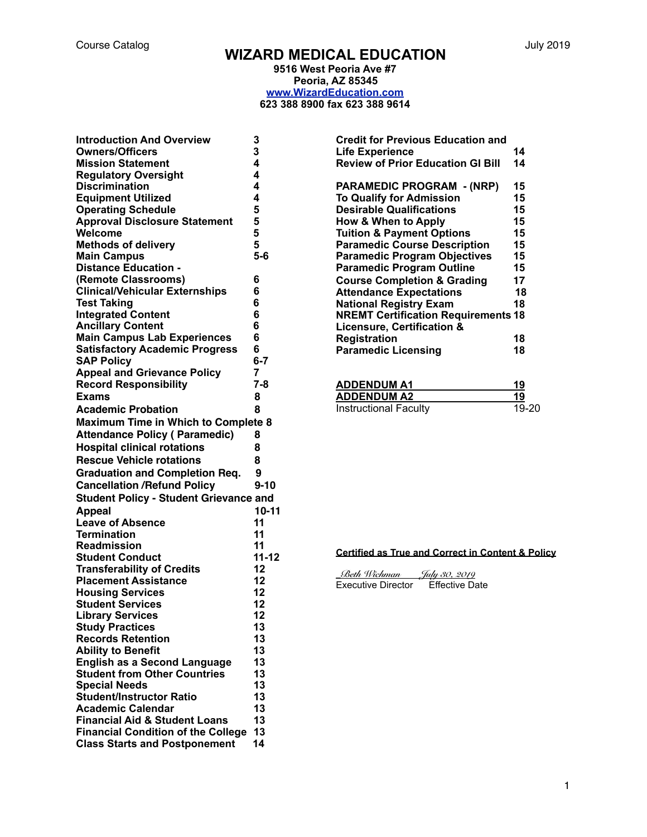# Course Catalog July 2019 **WIZARD MEDICAL EDUCATION**

**9516 West Peoria Ave #7 Peoria, AZ 85345 [www.WizardEducation.com](http://www.WizardEducation.com) 623 388 8900 fax 623 388 9614** 

| 4<br><b>Mission Statement</b><br>4<br><b>Regulatory Oversight</b><br><b>Discrimination</b><br>4<br><b>Equipment Utilized</b><br>4<br><b>Operating Schedule</b><br>5<br><b>Approval Disclosure Statement</b><br>5<br>5<br>Welcome<br>5<br><b>Methods of delivery</b><br>$5-6$<br><b>Main Campus</b><br><b>Distance Education -</b><br>(Remote Classrooms)<br>6<br><b>Clinical/Vehicular Externships</b><br>6<br>6<br><b>Test Taking</b><br><b>Integrated Content</b><br>6<br><b>Ancillary Content</b><br>6<br><b>Main Campus Lab Experiences</b><br>6<br><b>Satisfactory Academic Progress</b><br>6<br><b>SAP Policy</b><br>$6 - 7$<br><b>Appeal and Grievance Policy</b><br>7<br><b>Record Responsibility</b><br>$7 - 8$<br>8<br><b>Academic Probation</b><br>8<br><b>Maximum Time in Which to Complete 8</b><br>8<br>8<br>8<br><b>Graduation and Completion Req.</b><br>9<br><b>Cancellation /Refund Policy</b><br>$9 - 10$<br><b>Student Policy - Student Grievance and</b><br><b>Appeal</b><br>10-11<br><b>Leave of Absence</b><br>11<br><b>Termination</b><br>11<br><b>Readmission</b><br>11<br>$11 - 12$<br><b>Student Conduct</b><br><b>Transferability of Credits</b><br>12<br><b>Placement Assistance</b><br>12<br><b>Housing Services</b><br>12<br><b>Student Services</b><br>12<br><b>Library Services</b><br>12<br><b>Study Practices</b><br>13<br>13<br><b>Ability to Benefit</b><br>13<br>13<br><b>English as a Second Language</b><br>13<br>13<br><b>Special Needs</b><br>13<br>13<br>13<br>13<br>14<br><b>Class Starts and Postponement</b> | <b>Introduction And Overview</b><br><b>Owners/Officers</b> | 3<br>3 |
|------------------------------------------------------------------------------------------------------------------------------------------------------------------------------------------------------------------------------------------------------------------------------------------------------------------------------------------------------------------------------------------------------------------------------------------------------------------------------------------------------------------------------------------------------------------------------------------------------------------------------------------------------------------------------------------------------------------------------------------------------------------------------------------------------------------------------------------------------------------------------------------------------------------------------------------------------------------------------------------------------------------------------------------------------------------------------------------------------------------------------------------------------------------------------------------------------------------------------------------------------------------------------------------------------------------------------------------------------------------------------------------------------------------------------------------------------------------------------------------------------------------------------------------------------------|------------------------------------------------------------|--------|
|                                                                                                                                                                                                                                                                                                                                                                                                                                                                                                                                                                                                                                                                                                                                                                                                                                                                                                                                                                                                                                                                                                                                                                                                                                                                                                                                                                                                                                                                                                                                                            |                                                            |        |
|                                                                                                                                                                                                                                                                                                                                                                                                                                                                                                                                                                                                                                                                                                                                                                                                                                                                                                                                                                                                                                                                                                                                                                                                                                                                                                                                                                                                                                                                                                                                                            |                                                            |        |
|                                                                                                                                                                                                                                                                                                                                                                                                                                                                                                                                                                                                                                                                                                                                                                                                                                                                                                                                                                                                                                                                                                                                                                                                                                                                                                                                                                                                                                                                                                                                                            |                                                            |        |
|                                                                                                                                                                                                                                                                                                                                                                                                                                                                                                                                                                                                                                                                                                                                                                                                                                                                                                                                                                                                                                                                                                                                                                                                                                                                                                                                                                                                                                                                                                                                                            |                                                            |        |
|                                                                                                                                                                                                                                                                                                                                                                                                                                                                                                                                                                                                                                                                                                                                                                                                                                                                                                                                                                                                                                                                                                                                                                                                                                                                                                                                                                                                                                                                                                                                                            |                                                            |        |
|                                                                                                                                                                                                                                                                                                                                                                                                                                                                                                                                                                                                                                                                                                                                                                                                                                                                                                                                                                                                                                                                                                                                                                                                                                                                                                                                                                                                                                                                                                                                                            |                                                            |        |
|                                                                                                                                                                                                                                                                                                                                                                                                                                                                                                                                                                                                                                                                                                                                                                                                                                                                                                                                                                                                                                                                                                                                                                                                                                                                                                                                                                                                                                                                                                                                                            |                                                            |        |
|                                                                                                                                                                                                                                                                                                                                                                                                                                                                                                                                                                                                                                                                                                                                                                                                                                                                                                                                                                                                                                                                                                                                                                                                                                                                                                                                                                                                                                                                                                                                                            |                                                            |        |
|                                                                                                                                                                                                                                                                                                                                                                                                                                                                                                                                                                                                                                                                                                                                                                                                                                                                                                                                                                                                                                                                                                                                                                                                                                                                                                                                                                                                                                                                                                                                                            |                                                            |        |
|                                                                                                                                                                                                                                                                                                                                                                                                                                                                                                                                                                                                                                                                                                                                                                                                                                                                                                                                                                                                                                                                                                                                                                                                                                                                                                                                                                                                                                                                                                                                                            |                                                            |        |
|                                                                                                                                                                                                                                                                                                                                                                                                                                                                                                                                                                                                                                                                                                                                                                                                                                                                                                                                                                                                                                                                                                                                                                                                                                                                                                                                                                                                                                                                                                                                                            |                                                            |        |
|                                                                                                                                                                                                                                                                                                                                                                                                                                                                                                                                                                                                                                                                                                                                                                                                                                                                                                                                                                                                                                                                                                                                                                                                                                                                                                                                                                                                                                                                                                                                                            |                                                            |        |
|                                                                                                                                                                                                                                                                                                                                                                                                                                                                                                                                                                                                                                                                                                                                                                                                                                                                                                                                                                                                                                                                                                                                                                                                                                                                                                                                                                                                                                                                                                                                                            |                                                            |        |
|                                                                                                                                                                                                                                                                                                                                                                                                                                                                                                                                                                                                                                                                                                                                                                                                                                                                                                                                                                                                                                                                                                                                                                                                                                                                                                                                                                                                                                                                                                                                                            |                                                            |        |
|                                                                                                                                                                                                                                                                                                                                                                                                                                                                                                                                                                                                                                                                                                                                                                                                                                                                                                                                                                                                                                                                                                                                                                                                                                                                                                                                                                                                                                                                                                                                                            |                                                            |        |
|                                                                                                                                                                                                                                                                                                                                                                                                                                                                                                                                                                                                                                                                                                                                                                                                                                                                                                                                                                                                                                                                                                                                                                                                                                                                                                                                                                                                                                                                                                                                                            |                                                            |        |
|                                                                                                                                                                                                                                                                                                                                                                                                                                                                                                                                                                                                                                                                                                                                                                                                                                                                                                                                                                                                                                                                                                                                                                                                                                                                                                                                                                                                                                                                                                                                                            |                                                            |        |
|                                                                                                                                                                                                                                                                                                                                                                                                                                                                                                                                                                                                                                                                                                                                                                                                                                                                                                                                                                                                                                                                                                                                                                                                                                                                                                                                                                                                                                                                                                                                                            |                                                            |        |
|                                                                                                                                                                                                                                                                                                                                                                                                                                                                                                                                                                                                                                                                                                                                                                                                                                                                                                                                                                                                                                                                                                                                                                                                                                                                                                                                                                                                                                                                                                                                                            |                                                            |        |
|                                                                                                                                                                                                                                                                                                                                                                                                                                                                                                                                                                                                                                                                                                                                                                                                                                                                                                                                                                                                                                                                                                                                                                                                                                                                                                                                                                                                                                                                                                                                                            |                                                            |        |
|                                                                                                                                                                                                                                                                                                                                                                                                                                                                                                                                                                                                                                                                                                                                                                                                                                                                                                                                                                                                                                                                                                                                                                                                                                                                                                                                                                                                                                                                                                                                                            |                                                            |        |
|                                                                                                                                                                                                                                                                                                                                                                                                                                                                                                                                                                                                                                                                                                                                                                                                                                                                                                                                                                                                                                                                                                                                                                                                                                                                                                                                                                                                                                                                                                                                                            | Exams                                                      |        |
|                                                                                                                                                                                                                                                                                                                                                                                                                                                                                                                                                                                                                                                                                                                                                                                                                                                                                                                                                                                                                                                                                                                                                                                                                                                                                                                                                                                                                                                                                                                                                            |                                                            |        |
|                                                                                                                                                                                                                                                                                                                                                                                                                                                                                                                                                                                                                                                                                                                                                                                                                                                                                                                                                                                                                                                                                                                                                                                                                                                                                                                                                                                                                                                                                                                                                            |                                                            |        |
|                                                                                                                                                                                                                                                                                                                                                                                                                                                                                                                                                                                                                                                                                                                                                                                                                                                                                                                                                                                                                                                                                                                                                                                                                                                                                                                                                                                                                                                                                                                                                            | <b>Attendance Policy (Paramedic)</b>                       |        |
|                                                                                                                                                                                                                                                                                                                                                                                                                                                                                                                                                                                                                                                                                                                                                                                                                                                                                                                                                                                                                                                                                                                                                                                                                                                                                                                                                                                                                                                                                                                                                            | <b>Hospital clinical rotations</b>                         |        |
|                                                                                                                                                                                                                                                                                                                                                                                                                                                                                                                                                                                                                                                                                                                                                                                                                                                                                                                                                                                                                                                                                                                                                                                                                                                                                                                                                                                                                                                                                                                                                            | <b>Rescue Vehicle rotations</b>                            |        |
|                                                                                                                                                                                                                                                                                                                                                                                                                                                                                                                                                                                                                                                                                                                                                                                                                                                                                                                                                                                                                                                                                                                                                                                                                                                                                                                                                                                                                                                                                                                                                            |                                                            |        |
|                                                                                                                                                                                                                                                                                                                                                                                                                                                                                                                                                                                                                                                                                                                                                                                                                                                                                                                                                                                                                                                                                                                                                                                                                                                                                                                                                                                                                                                                                                                                                            |                                                            |        |
|                                                                                                                                                                                                                                                                                                                                                                                                                                                                                                                                                                                                                                                                                                                                                                                                                                                                                                                                                                                                                                                                                                                                                                                                                                                                                                                                                                                                                                                                                                                                                            |                                                            |        |
|                                                                                                                                                                                                                                                                                                                                                                                                                                                                                                                                                                                                                                                                                                                                                                                                                                                                                                                                                                                                                                                                                                                                                                                                                                                                                                                                                                                                                                                                                                                                                            |                                                            |        |
|                                                                                                                                                                                                                                                                                                                                                                                                                                                                                                                                                                                                                                                                                                                                                                                                                                                                                                                                                                                                                                                                                                                                                                                                                                                                                                                                                                                                                                                                                                                                                            |                                                            |        |
|                                                                                                                                                                                                                                                                                                                                                                                                                                                                                                                                                                                                                                                                                                                                                                                                                                                                                                                                                                                                                                                                                                                                                                                                                                                                                                                                                                                                                                                                                                                                                            |                                                            |        |
|                                                                                                                                                                                                                                                                                                                                                                                                                                                                                                                                                                                                                                                                                                                                                                                                                                                                                                                                                                                                                                                                                                                                                                                                                                                                                                                                                                                                                                                                                                                                                            |                                                            |        |
|                                                                                                                                                                                                                                                                                                                                                                                                                                                                                                                                                                                                                                                                                                                                                                                                                                                                                                                                                                                                                                                                                                                                                                                                                                                                                                                                                                                                                                                                                                                                                            |                                                            |        |
|                                                                                                                                                                                                                                                                                                                                                                                                                                                                                                                                                                                                                                                                                                                                                                                                                                                                                                                                                                                                                                                                                                                                                                                                                                                                                                                                                                                                                                                                                                                                                            |                                                            |        |
|                                                                                                                                                                                                                                                                                                                                                                                                                                                                                                                                                                                                                                                                                                                                                                                                                                                                                                                                                                                                                                                                                                                                                                                                                                                                                                                                                                                                                                                                                                                                                            |                                                            |        |
|                                                                                                                                                                                                                                                                                                                                                                                                                                                                                                                                                                                                                                                                                                                                                                                                                                                                                                                                                                                                                                                                                                                                                                                                                                                                                                                                                                                                                                                                                                                                                            |                                                            |        |
|                                                                                                                                                                                                                                                                                                                                                                                                                                                                                                                                                                                                                                                                                                                                                                                                                                                                                                                                                                                                                                                                                                                                                                                                                                                                                                                                                                                                                                                                                                                                                            |                                                            |        |
|                                                                                                                                                                                                                                                                                                                                                                                                                                                                                                                                                                                                                                                                                                                                                                                                                                                                                                                                                                                                                                                                                                                                                                                                                                                                                                                                                                                                                                                                                                                                                            |                                                            |        |
|                                                                                                                                                                                                                                                                                                                                                                                                                                                                                                                                                                                                                                                                                                                                                                                                                                                                                                                                                                                                                                                                                                                                                                                                                                                                                                                                                                                                                                                                                                                                                            |                                                            |        |
|                                                                                                                                                                                                                                                                                                                                                                                                                                                                                                                                                                                                                                                                                                                                                                                                                                                                                                                                                                                                                                                                                                                                                                                                                                                                                                                                                                                                                                                                                                                                                            | <b>Records Retention</b>                                   |        |
|                                                                                                                                                                                                                                                                                                                                                                                                                                                                                                                                                                                                                                                                                                                                                                                                                                                                                                                                                                                                                                                                                                                                                                                                                                                                                                                                                                                                                                                                                                                                                            |                                                            |        |
|                                                                                                                                                                                                                                                                                                                                                                                                                                                                                                                                                                                                                                                                                                                                                                                                                                                                                                                                                                                                                                                                                                                                                                                                                                                                                                                                                                                                                                                                                                                                                            |                                                            |        |
|                                                                                                                                                                                                                                                                                                                                                                                                                                                                                                                                                                                                                                                                                                                                                                                                                                                                                                                                                                                                                                                                                                                                                                                                                                                                                                                                                                                                                                                                                                                                                            | <b>Student from Other Countries</b>                        |        |
|                                                                                                                                                                                                                                                                                                                                                                                                                                                                                                                                                                                                                                                                                                                                                                                                                                                                                                                                                                                                                                                                                                                                                                                                                                                                                                                                                                                                                                                                                                                                                            |                                                            |        |
|                                                                                                                                                                                                                                                                                                                                                                                                                                                                                                                                                                                                                                                                                                                                                                                                                                                                                                                                                                                                                                                                                                                                                                                                                                                                                                                                                                                                                                                                                                                                                            | <b>Student/Instructor Ratio</b>                            |        |
|                                                                                                                                                                                                                                                                                                                                                                                                                                                                                                                                                                                                                                                                                                                                                                                                                                                                                                                                                                                                                                                                                                                                                                                                                                                                                                                                                                                                                                                                                                                                                            | <b>Academic Calendar</b>                                   |        |
|                                                                                                                                                                                                                                                                                                                                                                                                                                                                                                                                                                                                                                                                                                                                                                                                                                                                                                                                                                                                                                                                                                                                                                                                                                                                                                                                                                                                                                                                                                                                                            | <b>Financial Aid &amp; Student Loans</b>                   |        |
|                                                                                                                                                                                                                                                                                                                                                                                                                                                                                                                                                                                                                                                                                                                                                                                                                                                                                                                                                                                                                                                                                                                                                                                                                                                                                                                                                                                                                                                                                                                                                            | <b>Financial Condition of the College</b>                  |        |
|                                                                                                                                                                                                                                                                                                                                                                                                                                                                                                                                                                                                                                                                                                                                                                                                                                                                                                                                                                                                                                                                                                                                                                                                                                                                                                                                                                                                                                                                                                                                                            |                                                            |        |

| <b>Credit for Previous Education and</b><br><b>Life Experience</b><br><b>Review of Prior Education GI Bill</b>                                                                                                                                                                                                                                                                                                                                                                                                                                              | 14<br>14                                                                   |
|-------------------------------------------------------------------------------------------------------------------------------------------------------------------------------------------------------------------------------------------------------------------------------------------------------------------------------------------------------------------------------------------------------------------------------------------------------------------------------------------------------------------------------------------------------------|----------------------------------------------------------------------------|
| <b>PARAMEDIC PROGRAM - (NRP)</b><br><b>To Qualify for Admission</b><br><b>Desirable Qualifications</b><br><b>How &amp; When to Apply</b><br><b>Tuition &amp; Payment Options</b><br><b>Paramedic Course Description</b><br><b>Paramedic Program Objectives</b><br><b>Paramedic Program Outline</b><br><b>Course Completion &amp; Grading</b><br><b>Attendance Expectations</b><br><b>National Registry Exam</b><br><b>NREMT Certification Requirements 18</b><br><b>Licensure, Certification &amp;</b><br><b>Registration</b><br><b>Paramedic Licensing</b> | 15<br>15<br>15<br>15<br>15<br>15<br>15<br>15<br>17<br>18<br>18<br>18<br>18 |
| ADDENDUM A1                                                                                                                                                                                                                                                                                                                                                                                                                                                                                                                                                 | 19                                                                         |

**ADDENDUM A2 19**  Instructional Faculty 19-20

## **Certified as True and Correct in Content & Policy**

| Beth Wichman       | July 30, 2019         |
|--------------------|-----------------------|
| Executive Director | <b>Effective Date</b> |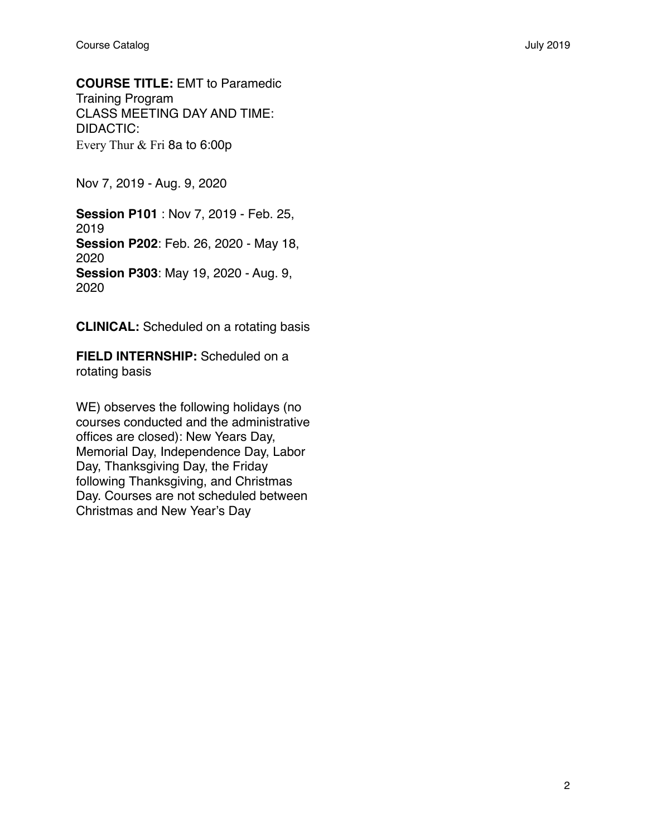**COURSE TITLE:** EMT to Paramedic Training Program CLASS MEETING DAY AND TIME: DIDACTIC: Every Thur & Fri 8a to 6:00p

Nov 7, 2019 - Aug. 9, 2020

**Session P101** : Nov 7, 2019 - Feb. 25, 2019 **Session P202**: Feb. 26, 2020 - May 18, 2020 **Session P303**: May 19, 2020 - Aug. 9, 2020

**CLINICAL:** Scheduled on a rotating basis

**FIELD INTERNSHIP:** Scheduled on a rotating basis

WE) observes the following holidays (no courses conducted and the administrative offices are closed): New Years Day, Memorial Day, Independence Day, Labor Day, Thanksgiving Day, the Friday following Thanksgiving, and Christmas Day. Courses are not scheduled between Christmas and New Year's Day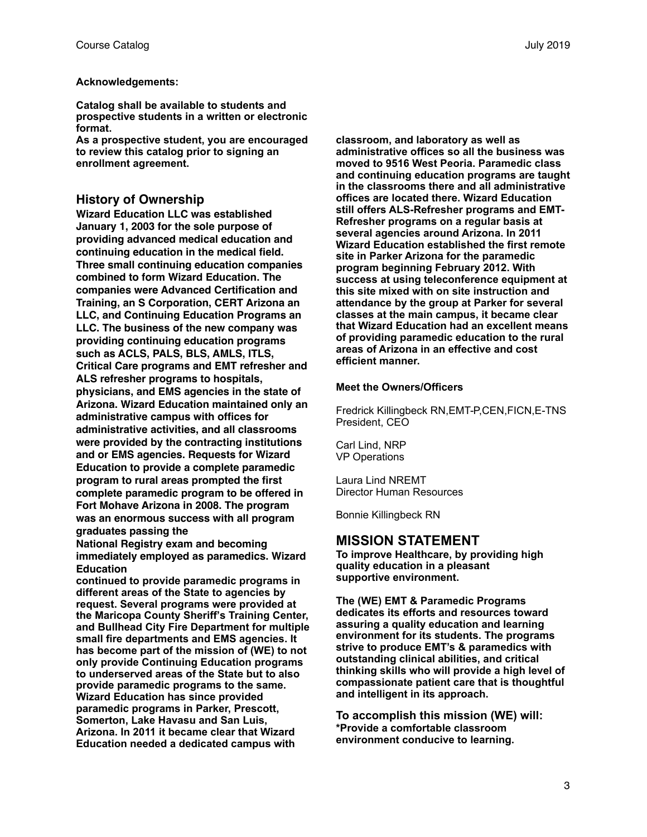## **Acknowledgements:**

**Catalog shall be available to students and prospective students in a written or electronic format.**

**As a prospective student, you are encouraged to review this catalog prior to signing an enrollment agreement.** 

## **History of Ownership**

**Wizard Education LLC was established January 1, 2003 for the sole purpose of providing advanced medical education and continuing education in the medical field. Three small continuing education companies combined to form Wizard Education. The companies were Advanced Certification and Training, an S Corporation, CERT Arizona an LLC, and Continuing Education Programs an LLC. The business of the new company was providing continuing education programs such as ACLS, PALS, BLS, AMLS, ITLS, Critical Care programs and EMT refresher and ALS refresher programs to hospitals, physicians, and EMS agencies in the state of Arizona. Wizard Education maintained only an administrative campus with offices for administrative activities, and all classrooms were provided by the contracting institutions and or EMS agencies. Requests for Wizard Education to provide a complete paramedic program to rural areas prompted the first complete paramedic program to be offered in Fort Mohave Arizona in 2008. The program was an enormous success with all program graduates passing the**

**National Registry exam and becoming immediately employed as paramedics. Wizard Education**

**continued to provide paramedic programs in different areas of the State to agencies by request. Several programs were provided at the Maricopa County Sheriff's Training Center, and Bullhead City Fire Department for multiple small fire departments and EMS agencies. It has become part of the mission of (WE) to not only provide Continuing Education programs to underserved areas of the State but to also provide paramedic programs to the same. Wizard Education has since provided paramedic programs in Parker, Prescott, Somerton, Lake Havasu and San Luis, Arizona. In 2011 it became clear that Wizard Education needed a dedicated campus with** 

**classroom, and laboratory as well as administrative offices so all the business was moved to 9516 West Peoria. Paramedic class and continuing education programs are taught in the classrooms there and all administrative offices are located there. Wizard Education still offers ALS-Refresher programs and EMT-Refresher programs on a regular basis at several agencies around Arizona. In 2011 Wizard Education established the first remote site in Parker Arizona for the paramedic program beginning February 2012. With success at using teleconference equipment at this site mixed with on site instruction and attendance by the group at Parker for several classes at the main campus, it became clear that Wizard Education had an excellent means of providing paramedic education to the rural areas of Arizona in an effective and cost efficient manner.** 

#### **Meet the Owners/Officers**

Fredrick Killingbeck RN,EMT-P,CEN,FICN,E-TNS President, CEO

Carl Lind, NRP VP Operations

Laura Lind NREMT Director Human Resources

Bonnie Killingbeck RN

## **MISSION STATEMENT**

**To improve Healthcare, by providing high quality education in a pleasant supportive environment.** 

**The (WE) EMT & Paramedic Programs dedicates its efforts and resources toward assuring a quality education and learning environment for its students. The programs strive to produce EMT's & paramedics with outstanding clinical abilities, and critical thinking skills who will provide a high level of compassionate patient care that is thoughtful and intelligent in its approach.** 

**To accomplish this mission (WE) will: \*Provide a comfortable classroom environment conducive to learning.**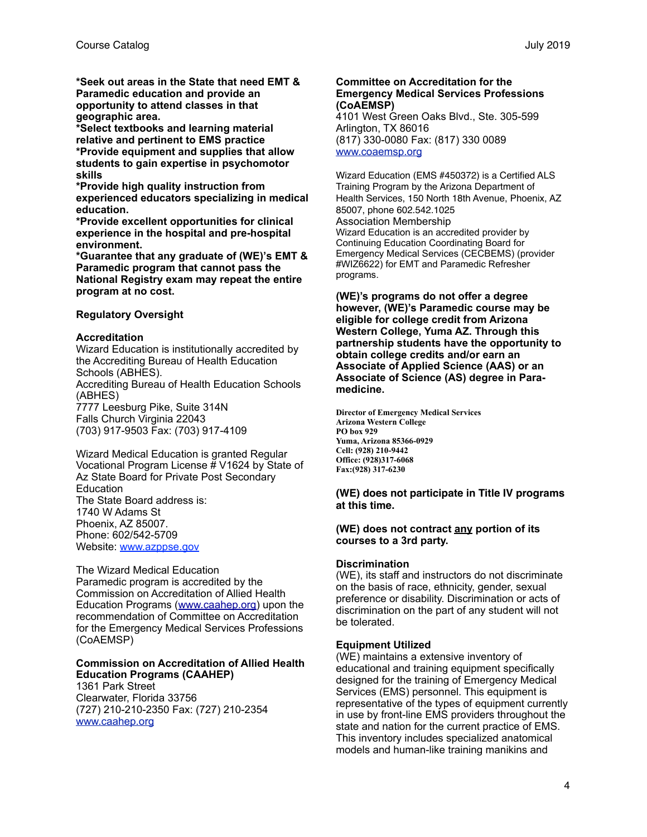**\*Seek out areas in the State that need EMT & Paramedic education and provide an opportunity to attend classes in that geographic area.**

**\*Select textbooks and learning material relative and pertinent to EMS practice \*Provide equipment and supplies that allow students to gain expertise in psychomotor skills**

**\*Provide high quality instruction from experienced educators specializing in medical education.**

**\*Provide excellent opportunities for clinical experience in the hospital and pre-hospital environment.**

**\*Guarantee that any graduate of (WE)'s EMT & Paramedic program that cannot pass the National Registry exam may repeat the entire program at no cost.**

#### **Regulatory Oversight**

#### **Accreditation**

Wizard Education is institutionally accredited by the Accrediting Bureau of Health Education Schools (ABHES). Accrediting Bureau of Health Education Schools

(ABHES) 7777 Leesburg Pike, Suite 314N Falls Church Virginia 22043 (703) 917-9503 Fax: (703) 917-4109

Wizard Medical Education is granted Regular Vocational Program License # V1624 by State of Az State Board for Private Post Secondary Education The State Board address is: 1740 W Adams St Phoenix, AZ 85007. Phone: 602/542-5709 Website: [www.azppse.gov](http://www.ppse.az.gov)

The Wizard Medical Education Paramedic program is accredited by the Commission on Accreditation of Allied Health Education Programs ([www.caahep.org\)](http://www.caahep.org) upon the recommendation of Committee on Accreditation for the Emergency Medical Services Professions (CoAEMSP)

#### **Commission on Accreditation of Allied Health Education Programs (CAAHEP)**

1361 Park Street Clearwater, Florida 33756 (727) 210-210-2350 Fax: (727) 210-2354 [www.caahep.org](http://www.caahep.org)

#### **Committee on Accreditation for the Emergency Medical Services Professions (CoAEMSP)**

4101 West Green Oaks Blvd., Ste. 305-599 Arlington, TX 86016 (817) 330-0080 Fax: (817) 330 0089 [www.coaemsp.org](http://www.coaemsp.org)

Wizard Education (EMS #450372) is a Certified ALS Training Program by the Arizona Department of Health Services, 150 North 18th Avenue, Phoenix, AZ 85007, phone 602.542.1025 Association Membership Wizard Education is an accredited provider by Continuing Education Coordinating Board for Emergency Medical Services (CECBEMS) (provider #WIZ6622) for EMT and Paramedic Refresher programs.

**(WE)'s programs do not offer a degree however, (WE)'s Paramedic course may be eligible for college credit from Arizona Western College, Yuma AZ. Through this partnership students have the opportunity to obtain college credits and/or earn an Associate of Applied Science (AAS) or an Associate of Science (AS) degree in Paramedicine.** 

**Director of Emergency Medical Services Arizona Western College PO box 929 Yuma, Arizona 85366-0929 Cell: (928) 210-9442 Office: (928)317-6068 Fax:(928) 317-6230** 

#### **(WE) does not participate in Title IV programs at this time.**

#### **(WE) does not contract any portion of its courses to a 3rd party.**

#### **Discrimination**

(WE), its staff and instructors do not discriminate on the basis of race, ethnicity, gender, sexual preference or disability. Discrimination or acts of discrimination on the part of any student will not be tolerated.

#### **Equipment Utilized**

(WE) maintains a extensive inventory of educational and training equipment specifically designed for the training of Emergency Medical Services (EMS) personnel. This equipment is representative of the types of equipment currently in use by front-line EMS providers throughout the state and nation for the current practice of EMS. This inventory includes specialized anatomical models and human-like training manikins and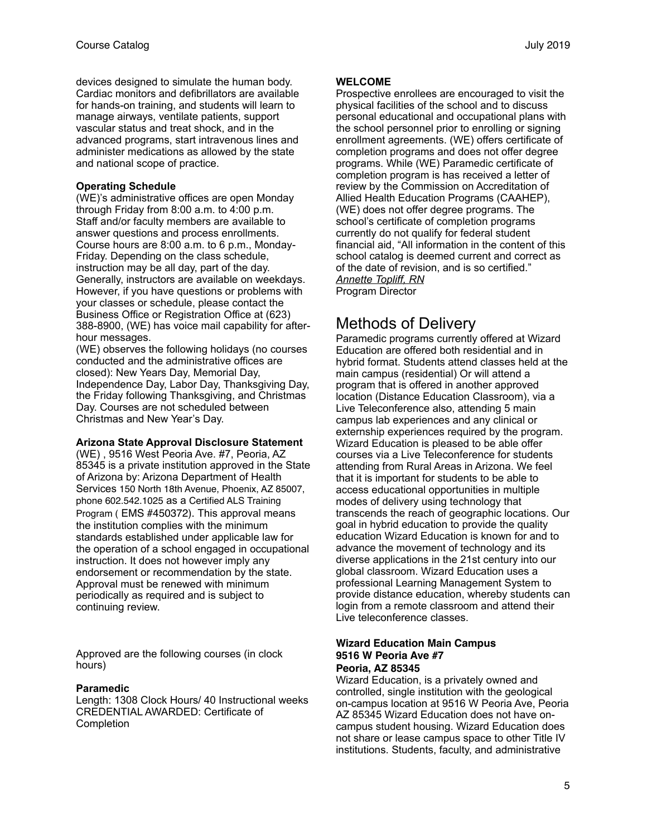devices designed to simulate the human body. Cardiac monitors and defibrillators are available for hands-on training, and students will learn to manage airways, ventilate patients, support vascular status and treat shock, and in the advanced programs, start intravenous lines and administer medications as allowed by the state and national scope of practice.

## **Operating Schedule**

(WE)'s administrative offices are open Monday through Friday from 8:00 a.m. to 4:00 p.m. Staff and/or faculty members are available to answer questions and process enrollments. Course hours are 8:00 a.m. to 6 p.m., Monday-Friday. Depending on the class schedule, instruction may be all day, part of the day. Generally, instructors are available on weekdays. However, if you have questions or problems with your classes or schedule, please contact the Business Office or Registration Office at (623) 388-8900, (WE) has voice mail capability for afterhour messages.

(WE) observes the following holidays (no courses conducted and the administrative offices are closed): New Years Day, Memorial Day, Independence Day, Labor Day, Thanksgiving Day, the Friday following Thanksgiving, and Christmas Day. Courses are not scheduled between Christmas and New Year's Day.

#### **Arizona State Approval Disclosure Statement**

(WE) , 9516 West Peoria Ave. #7, Peoria, AZ 85345 is a private institution approved in the State of Arizona by: Arizona Department of Health Services 150 North 18th Avenue, Phoenix, AZ 85007, phone 602.542.1025 as a Certified ALS Training Program ( EMS #450372). This approval means the institution complies with the minimum standards established under applicable law for the operation of a school engaged in occupational instruction. It does not however imply any endorsement or recommendation by the state. Approval must be renewed with minimum periodically as required and is subject to continuing review.

Approved are the following courses (in clock hours)

## **Paramedic**

Length: 1308 Clock Hours/ 40 Instructional weeks CREDENTIAL AWARDED: Certificate of **Completion** 

#### **WELCOME**

Prospective enrollees are encouraged to visit the physical facilities of the school and to discuss personal educational and occupational plans with the school personnel prior to enrolling or signing enrollment agreements. (WE) offers certificate of completion programs and does not offer degree programs. While (WE) Paramedic certificate of completion program is has received a letter of review by the Commission on Accreditation of Allied Health Education Programs (CAAHEP), (WE) does not offer degree programs. The school's certificate of completion programs currently do not qualify for federal student financial aid, "All information in the content of this school catalog is deemed current and correct as of the date of revision, and is so certified." *Annette Topliff, RN*  Program Director

## Methods of Delivery

Paramedic programs currently offered at Wizard Education are offered both residential and in hybrid format. Students attend classes held at the main campus (residential) Or will attend a program that is offered in another approved location (Distance Education Classroom), via a Live Teleconference also, attending 5 main campus lab experiences and any clinical or externship experiences required by the program. Wizard Education is pleased to be able offer courses via a Live Teleconference for students attending from Rural Areas in Arizona. We feel that it is important for students to be able to access educational opportunities in multiple modes of delivery using technology that transcends the reach of geographic locations. Our goal in hybrid education to provide the quality education Wizard Education is known for and to advance the movement of technology and its diverse applications in the 21st century into our global classroom. Wizard Education uses a professional Learning Management System to provide distance education, whereby students can login from a remote classroom and attend their Live teleconference classes.

#### **Wizard Education Main Campus 9516 W Peoria Ave #7 Peoria, AZ 85345**

Wizard Education, is a privately owned and controlled, single institution with the geological on-campus location at 9516 W Peoria Ave, Peoria AZ 85345 Wizard Education does not have oncampus student housing. Wizard Education does not share or lease campus space to other Title IV institutions. Students, faculty, and administrative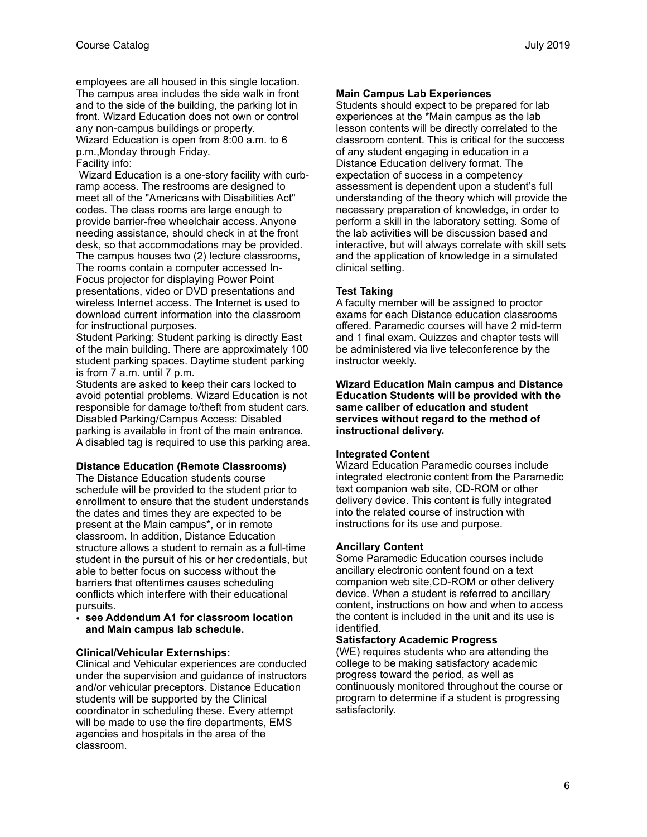employees are all housed in this single location. The campus area includes the side walk in front and to the side of the building, the parking lot in front. Wizard Education does not own or control any non-campus buildings or property. Wizard Education is open from 8:00 a.m. to 6 p.m.,Monday through Friday. Facility info:

Wizard Education is a one-story facility with curbramp access. The restrooms are designed to meet all of the "Americans with Disabilities Act" codes. The class rooms are large enough to provide barrier-free wheelchair access. Anyone needing assistance, should check in at the front desk, so that accommodations may be provided. The campus houses two (2) lecture classrooms, The rooms contain a computer accessed In-Focus projector for displaying Power Point presentations, video or DVD presentations and wireless Internet access. The Internet is used to download current information into the classroom for instructional purposes.

Student Parking: Student parking is directly East of the main building. There are approximately 100 student parking spaces. Daytime student parking is from 7 a.m. until 7 p.m.

Students are asked to keep their cars locked to avoid potential problems. Wizard Education is not responsible for damage to/theft from student cars. Disabled Parking/Campus Access: Disabled parking is available in front of the main entrance. A disabled tag is required to use this parking area.

## **Distance Education (Remote Classrooms)**

The Distance Education students course schedule will be provided to the student prior to enrollment to ensure that the student understands the dates and times they are expected to be present at the Main campus\*, or in remote classroom. In addition, Distance Education structure allows a student to remain as a full-time student in the pursuit of his or her credentials, but able to better focus on success without the barriers that oftentimes causes scheduling conflicts which interfere with their educational pursuits.

• **see Addendum A1 for classroom location and Main campus lab schedule.**

## **Clinical/Vehicular Externships:**

Clinical and Vehicular experiences are conducted under the supervision and guidance of instructors and/or vehicular preceptors. Distance Education students will be supported by the Clinical coordinator in scheduling these. Every attempt will be made to use the fire departments, EMS agencies and hospitals in the area of the classroom.

## **Main Campus Lab Experiences**

Students should expect to be prepared for lab experiences at the \*Main campus as the lab lesson contents will be directly correlated to the classroom content. This is critical for the success of any student engaging in education in a Distance Education delivery format. The expectation of success in a competency assessment is dependent upon a student's full understanding of the theory which will provide the necessary preparation of knowledge, in order to perform a skill in the laboratory setting. Some of the lab activities will be discussion based and interactive, but will always correlate with skill sets and the application of knowledge in a simulated clinical setting.

## **Test Taking**

A faculty member will be assigned to proctor exams for each Distance education classrooms offered. Paramedic courses will have 2 mid-term and 1 final exam. Quizzes and chapter tests will be administered via live teleconference by the instructor weekly.

**Wizard Education Main campus and Distance Education Students will be provided with the same caliber of education and student services without regard to the method of instructional delivery.** 

#### **Integrated Content**

Wizard Education Paramedic courses include integrated electronic content from the Paramedic text companion web site, CD-ROM or other delivery device. This content is fully integrated into the related course of instruction with instructions for its use and purpose.

#### **Ancillary Content**

Some Paramedic Education courses include ancillary electronic content found on a text companion web site,CD-ROM or other delivery device. When a student is referred to ancillary content, instructions on how and when to access the content is included in the unit and its use is identified.

#### **Satisfactory Academic Progress**

(WE) requires students who are attending the college to be making satisfactory academic progress toward the period, as well as continuously monitored throughout the course or program to determine if a student is progressing satisfactorily.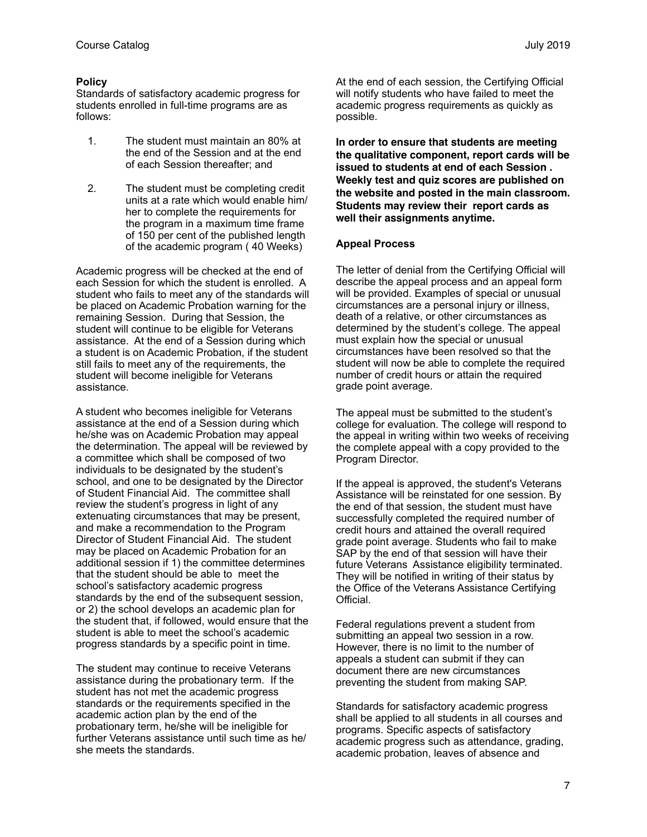## **Policy**

Standards of satisfactory academic progress for students enrolled in full-time programs are as follows:

- 1. The student must maintain an 80% at the end of the Session and at the end of each Session thereafter; and
- 2. The student must be completing credit units at a rate which would enable him/ her to complete the requirements for the program in a maximum time frame of 150 per cent of the published length of the academic program ( 40 Weeks)

Academic progress will be checked at the end of each Session for which the student is enrolled. A student who fails to meet any of the standards will be placed on Academic Probation warning for the remaining Session. During that Session, the student will continue to be eligible for Veterans assistance. At the end of a Session during which a student is on Academic Probation, if the student still fails to meet any of the requirements, the student will become ineligible for Veterans assistance.

A student who becomes ineligible for Veterans assistance at the end of a Session during which he/she was on Academic Probation may appeal the determination. The appeal will be reviewed by a committee which shall be composed of two individuals to be designated by the student's school, and one to be designated by the Director of Student Financial Aid. The committee shall review the student's progress in light of any extenuating circumstances that may be present, and make a recommendation to the Program Director of Student Financial Aid. The student may be placed on Academic Probation for an additional session if 1) the committee determines that the student should be able to meet the school's satisfactory academic progress standards by the end of the subsequent session, or 2) the school develops an academic plan for the student that, if followed, would ensure that the student is able to meet the school's academic progress standards by a specific point in time.

The student may continue to receive Veterans assistance during the probationary term. If the student has not met the academic progress standards or the requirements specified in the academic action plan by the end of the probationary term, he/she will be ineligible for further Veterans assistance until such time as he/ she meets the standards.

At the end of each session, the Certifying Official will notify students who have failed to meet the academic progress requirements as quickly as possible.

**In order to ensure that students are meeting the qualitative component, report cards will be issued to students at end of each Session . Weekly test and quiz scores are published on the website and posted in the main classroom. Students may review their report cards as well their assignments anytime.**

#### **Appeal Process**

The letter of denial from the Certifying Official will describe the appeal process and an appeal form will be provided. Examples of special or unusual circumstances are a personal injury or illness, death of a relative, or other circumstances as determined by the student's college. The appeal must explain how the special or unusual circumstances have been resolved so that the student will now be able to complete the required number of credit hours or attain the required grade point average.

The appeal must be submitted to the student's college for evaluation. The college will respond to the appeal in writing within two weeks of receiving the complete appeal with a copy provided to the Program Director.

If the appeal is approved, the student's Veterans Assistance will be reinstated for one session. By the end of that session, the student must have successfully completed the required number of credit hours and attained the overall required grade point average. Students who fail to make SAP by the end of that session will have their future Veterans Assistance eligibility terminated. They will be notified in writing of their status by the Office of the Veterans Assistance Certifying Official.

Federal regulations prevent a student from submitting an appeal two session in a row. However, there is no limit to the number of appeals a student can submit if they can document there are new circumstances preventing the student from making SAP.

Standards for satisfactory academic progress shall be applied to all students in all courses and programs. Specific aspects of satisfactory academic progress such as attendance, grading, academic probation, leaves of absence and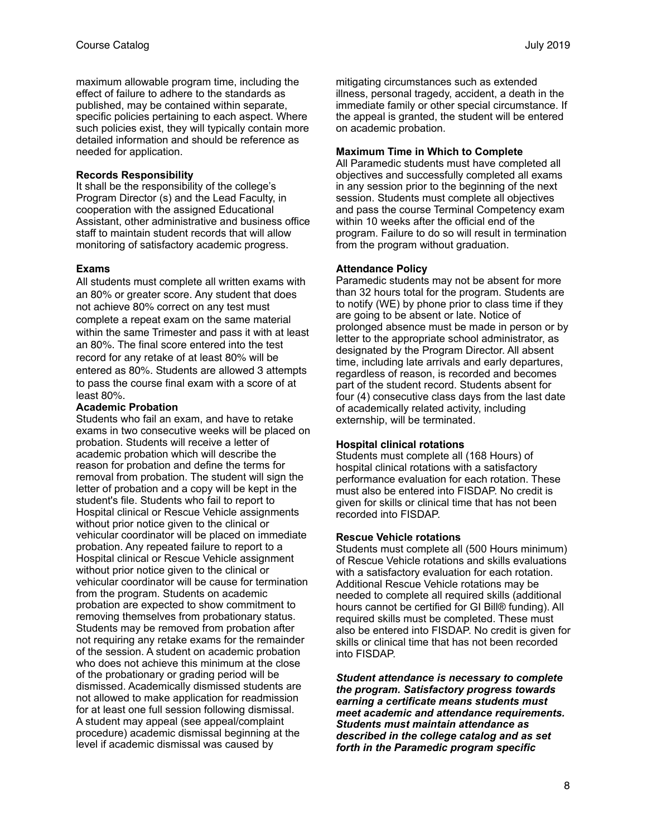maximum allowable program time, including the effect of failure to adhere to the standards as published, may be contained within separate, specific policies pertaining to each aspect. Where such policies exist, they will typically contain more detailed information and should be reference as needed for application.

#### **Records Responsibility**

It shall be the responsibility of the college's Program Director (s) and the Lead Faculty, in cooperation with the assigned Educational Assistant, other administrative and business office staff to maintain student records that will allow monitoring of satisfactory academic progress.

#### **Exams**

All students must complete all written exams with an 80% or greater score. Any student that does not achieve 80% correct on any test must complete a repeat exam on the same material within the same Trimester and pass it with at least an 80%. The final score entered into the test record for any retake of at least 80% will be entered as 80%. Students are allowed 3 attempts to pass the course final exam with a score of at least 80%.

#### **Academic Probation**

Students who fail an exam, and have to retake exams in two consecutive weeks will be placed on probation. Students will receive a letter of academic probation which will describe the reason for probation and define the terms for removal from probation. The student will sign the letter of probation and a copy will be kept in the student's file. Students who fail to report to Hospital clinical or Rescue Vehicle assignments without prior notice given to the clinical or vehicular coordinator will be placed on immediate probation. Any repeated failure to report to a Hospital clinical or Rescue Vehicle assignment without prior notice given to the clinical or vehicular coordinator will be cause for termination from the program. Students on academic probation are expected to show commitment to removing themselves from probationary status. Students may be removed from probation after not requiring any retake exams for the remainder of the session. A student on academic probation who does not achieve this minimum at the close of the probationary or grading period will be dismissed. Academically dismissed students are not allowed to make application for readmission for at least one full session following dismissal. A student may appeal (see appeal/complaint procedure) academic dismissal beginning at the level if academic dismissal was caused by

mitigating circumstances such as extended illness, personal tragedy, accident, a death in the immediate family or other special circumstance. If the appeal is granted, the student will be entered on academic probation.

#### **Maximum Time in Which to Complete**

All Paramedic students must have completed all objectives and successfully completed all exams in any session prior to the beginning of the next session. Students must complete all objectives and pass the course Terminal Competency exam within 10 weeks after the official end of the program. Failure to do so will result in termination from the program without graduation.

#### **Attendance Policy**

Paramedic students may not be absent for more than 32 hours total for the program. Students are to notify (WE) by phone prior to class time if they are going to be absent or late. Notice of prolonged absence must be made in person or by letter to the appropriate school administrator, as designated by the Program Director. All absent time, including late arrivals and early departures, regardless of reason, is recorded and becomes part of the student record. Students absent for four (4) consecutive class days from the last date of academically related activity, including externship, will be terminated.

## **Hospital clinical rotations**

Students must complete all (168 Hours) of hospital clinical rotations with a satisfactory performance evaluation for each rotation. These must also be entered into FISDAP. No credit is given for skills or clinical time that has not been recorded into FISDAP.

#### **Rescue Vehicle rotations**

Students must complete all (500 Hours minimum) of Rescue Vehicle rotations and skills evaluations with a satisfactory evaluation for each rotation. Additional Rescue Vehicle rotations may be needed to complete all required skills (additional hours cannot be certified for GI Bill® funding). All required skills must be completed. These must also be entered into FISDAP. No credit is given for skills or clinical time that has not been recorded into FISDAP.

*Student attendance is necessary to complete the program. Satisfactory progress towards earning a certificate means students must meet academic and attendance requirements. Students must maintain attendance as described in the college catalog and as set forth in the Paramedic program specific*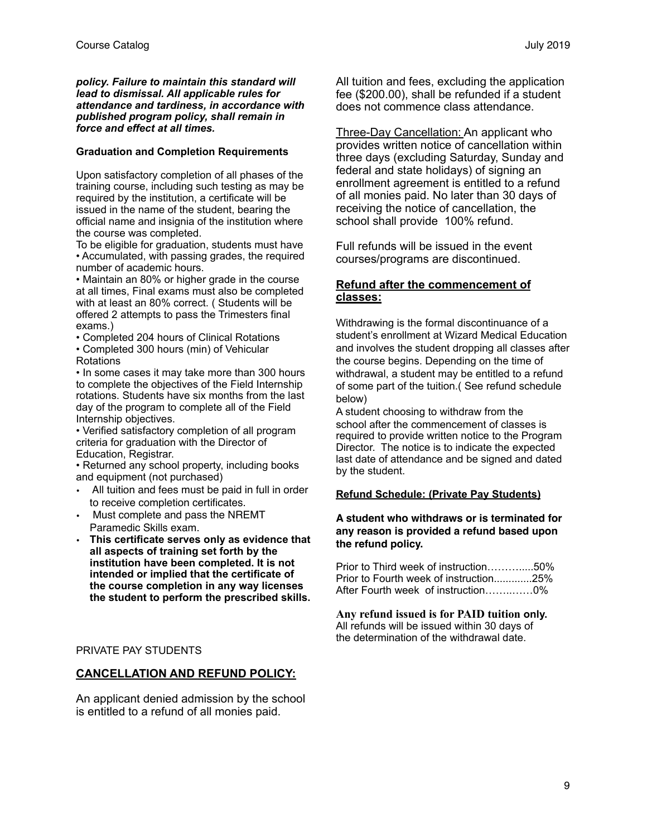#### *policy. Failure to maintain this standard will lead to dismissal. All applicable rules for attendance and tardiness, in accordance with published program policy, shall remain in force and effect at all times.*

## **Graduation and Completion Requirements**

Upon satisfactory completion of all phases of the training course, including such testing as may be required by the institution, a certificate will be issued in the name of the student, bearing the official name and insignia of the institution where the course was completed.

To be eligible for graduation, students must have • Accumulated, with passing grades, the required number of academic hours.

• Maintain an 80% or higher grade in the course at all times, Final exams must also be completed with at least an 80% correct. ( Students will be offered 2 attempts to pass the Trimesters final exams.)

• Completed 204 hours of Clinical Rotations • Completed 300 hours (min) of Vehicular Rotations

• In some cases it may take more than 300 hours to complete the objectives of the Field Internship rotations. Students have six months from the last day of the program to complete all of the Field Internship objectives.

• Verified satisfactory completion of all program criteria for graduation with the Director of Education, Registrar.

• Returned any school property, including books and equipment (not purchased)

- All tuition and fees must be paid in full in order to receive completion certificates.
- Must complete and pass the NREMT Paramedic Skills exam.
- **This certificate serves only as evidence that all aspects of training set forth by the institution have been completed. It is not intended or implied that the certificate of the course completion in any way licenses the student to perform the prescribed skills.**

## PRIVATE PAY STUDENTS

## **CANCELLATION AND REFUND POLICY:**

An applicant denied admission by the school is entitled to a refund of all monies paid.

All tuition and fees, excluding the application fee (\$200.00), shall be refunded if a student does not commence class attendance.

Three-Day Cancellation: An applicant who provides written notice of cancellation within three days (excluding Saturday, Sunday and federal and state holidays) of signing an enrollment agreement is entitled to a refund of all monies paid. No later than 30 days of receiving the notice of cancellation, the school shall provide 100% refund.

Full refunds will be issued in the event courses/programs are discontinued.

## **Refund after the commencement of classes:**

Withdrawing is the formal discontinuance of a student's enrollment at Wizard Medical Education and involves the student dropping all classes after the course begins. Depending on the time of withdrawal, a student may be entitled to a refund of some part of the tuition.( See refund schedule below)

A student choosing to withdraw from the school after the commencement of classes is required to provide written notice to the Program Director. The notice is to indicate the expected last date of attendance and be signed and dated by the student.

#### **Refund Schedule: (Private Pay Students)**

**A student who withdraws or is terminated for any reason is provided a refund based upon the refund policy.**

Prior to Third week of instruction……….....50% Prior to Fourth week of instruction.............25% After Fourth week of instruction……..……0%

**Any refund issued is for PAID tuition only.** All refunds will be issued within 30 days of the determination of the withdrawal date.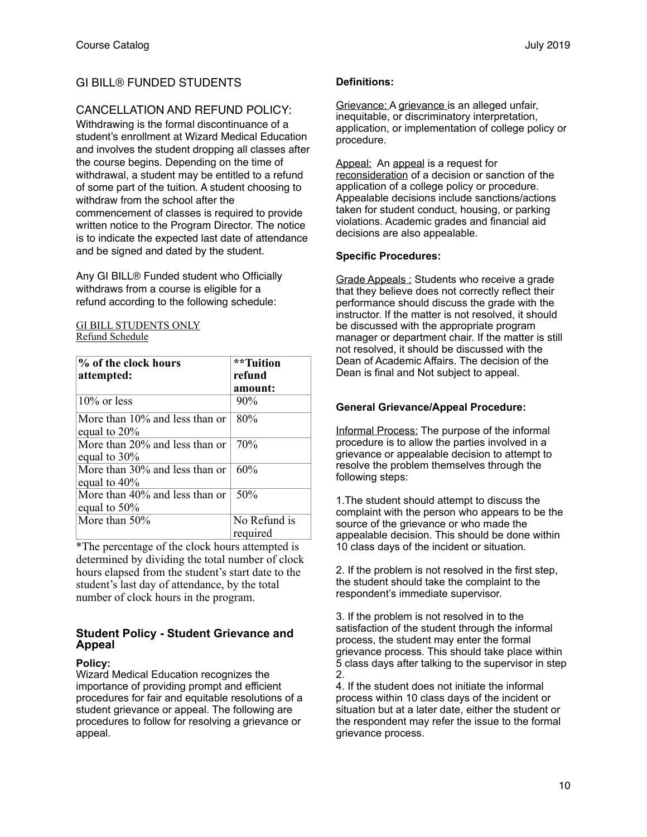## GI BILL® FUNDED STUDENTS

## CANCELLATION AND REFUND POLICY:

Withdrawing is the formal discontinuance of a student's enrollment at Wizard Medical Education and involves the student dropping all classes after the course begins. Depending on the time of withdrawal, a student may be entitled to a refund of some part of the tuition. A student choosing to withdraw from the school after the commencement of classes is required to provide written notice to the Program Director. The notice is to indicate the expected last date of attendance and be signed and dated by the student.

Any GI BILL® Funded student who Officially withdraws from a course is eligible for a refund according to the following schedule:

#### GI BILL STUDENTS ONLY Refund Schedule

| % of the clock hours           | **Tuition    |
|--------------------------------|--------------|
| attempted:                     | refund       |
|                                | amount:      |
| $10\%$ or less                 | 90%          |
| More than 10% and less than or | 80%          |
| equal to 20%                   |              |
| More than 20% and less than or | 70%          |
| equal to $30\%$                |              |
| More than 30% and less than or | 60%          |
| equal to 40%                   |              |
| More than 40% and less than or | 50%          |
| equal to $50\%$                |              |
| More than 50%                  | No Refund is |
|                                | required     |

\*The percentage of the clock hours attempted is determined by dividing the total number of clock hours elapsed from the student's start date to the student's last day of attendance, by the total number of clock hours in the program.

## **Student Policy - Student Grievance and Appeal**

## **Policy:**

Wizard Medical Education recognizes the importance of providing prompt and efficient procedures for fair and equitable resolutions of a student grievance or appeal. The following are procedures to follow for resolving a grievance or appeal.

## **Definitions:**

Grievance: A grievance is an alleged unfair, inequitable, or discriminatory interpretation, application, or implementation of college policy or procedure.

Appeal: An appeal is a request for reconsideration of a decision or sanction of the application of a college policy or procedure. Appealable decisions include sanctions/actions taken for student conduct, housing, or parking violations. Academic grades and financial aid decisions are also appealable.

## **Specific Procedures:**

Grade Appeals : Students who receive a grade that they believe does not correctly reflect their performance should discuss the grade with the instructor. If the matter is not resolved, it should be discussed with the appropriate program manager or department chair. If the matter is still not resolved, it should be discussed with the Dean of Academic Affairs. The decision of the Dean is final and Not subject to appeal.

## **General Grievance/Appeal Procedure:**

Informal Process: The purpose of the informal procedure is to allow the parties involved in a grievance or appealable decision to attempt to resolve the problem themselves through the following steps:

1.The student should attempt to discuss the complaint with the person who appears to be the source of the grievance or who made the appealable decision. This should be done within 10 class days of the incident or situation.

2. If the problem is not resolved in the first step, the student should take the complaint to the respondent's immediate supervisor.

3. If the problem is not resolved in to the satisfaction of the student through the informal process, the student may enter the formal grievance process. This should take place within 5 class days after talking to the supervisor in step 2.

4. If the student does not initiate the informal process within 10 class days of the incident or situation but at a later date, either the student or the respondent may refer the issue to the formal grievance process.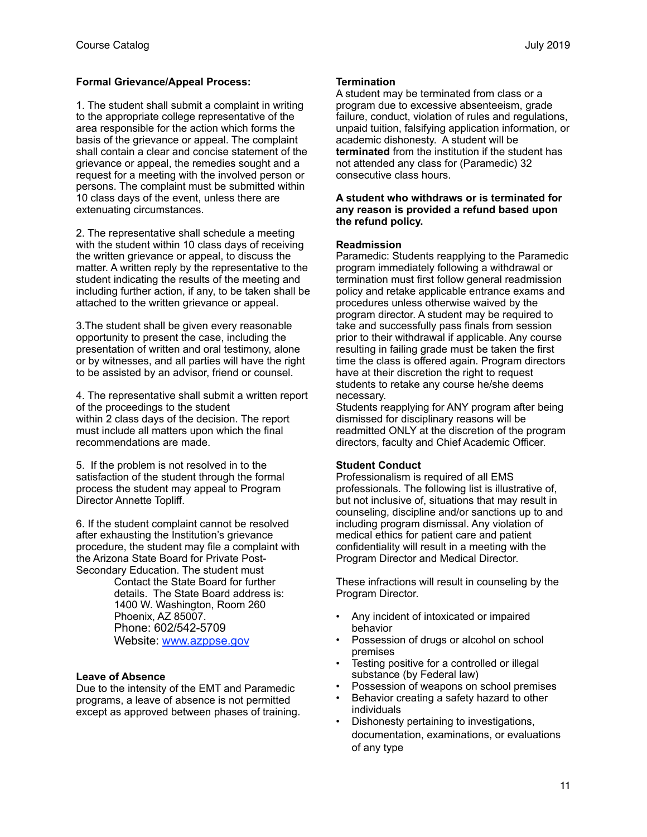## **Formal Grievance/Appeal Process:**

1. The student shall submit a complaint in writing to the appropriate college representative of the area responsible for the action which forms the basis of the grievance or appeal. The complaint shall contain a clear and concise statement of the grievance or appeal, the remedies sought and a request for a meeting with the involved person or persons. The complaint must be submitted within 10 class days of the event, unless there are extenuating circumstances.

2. The representative shall schedule a meeting with the student within 10 class days of receiving the written grievance or appeal, to discuss the matter. A written reply by the representative to the student indicating the results of the meeting and including further action, if any, to be taken shall be attached to the written grievance or appeal.

3.The student shall be given every reasonable opportunity to present the case, including the presentation of written and oral testimony, alone or by witnesses, and all parties will have the right to be assisted by an advisor, friend or counsel.

4. The representative shall submit a written report of the proceedings to the student within 2 class days of the decision. The report must include all matters upon which the final recommendations are made.

5. If the problem is not resolved in to the satisfaction of the student through the formal process the student may appeal to Program Director Annette Topliff.

6. If the student complaint cannot be resolved after exhausting the Institution's grievance procedure, the student may file a complaint with the Arizona State Board for Private Post-Secondary Education. The student must

Contact the State Board for further details. The State Board address is: 1400 W. Washington, Room 260 Phoenix, AZ 85007. Phone: 602/542-5709 Website: [www.azppse.gov](http://www.ppse.az.gov)

## **Leave of Absence**

Due to the intensity of the EMT and Paramedic programs, a leave of absence is not permitted except as approved between phases of training.

#### **Termination**

A student may be terminated from class or a program due to excessive absenteeism, grade failure, conduct, violation of rules and regulations, unpaid tuition, falsifying application information, or academic dishonesty. A student will be **terminated** from the institution if the student has not attended any class for (Paramedic) 32 consecutive class hours.

#### **A student who withdraws or is terminated for any reason is provided a refund based upon the refund policy.**

#### **Readmission**

Paramedic: Students reapplying to the Paramedic program immediately following a withdrawal or termination must first follow general readmission policy and retake applicable entrance exams and procedures unless otherwise waived by the program director. A student may be required to take and successfully pass finals from session prior to their withdrawal if applicable. Any course resulting in failing grade must be taken the first time the class is offered again. Program directors have at their discretion the right to request students to retake any course he/she deems necessary.

Students reapplying for ANY program after being dismissed for disciplinary reasons will be readmitted ONLY at the discretion of the program directors, faculty and Chief Academic Officer.

#### **Student Conduct**

Professionalism is required of all EMS professionals. The following list is illustrative of, but not inclusive of, situations that may result in counseling, discipline and/or sanctions up to and including program dismissal. Any violation of medical ethics for patient care and patient confidentiality will result in a meeting with the Program Director and Medical Director.

These infractions will result in counseling by the Program Director.

- Any incident of intoxicated or impaired behavior
- Possession of drugs or alcohol on school premises
- Testing positive for a controlled or illegal substance (by Federal law)
- Possession of weapons on school premises
- Behavior creating a safety hazard to other individuals
- Dishonesty pertaining to investigations, documentation, examinations, or evaluations of any type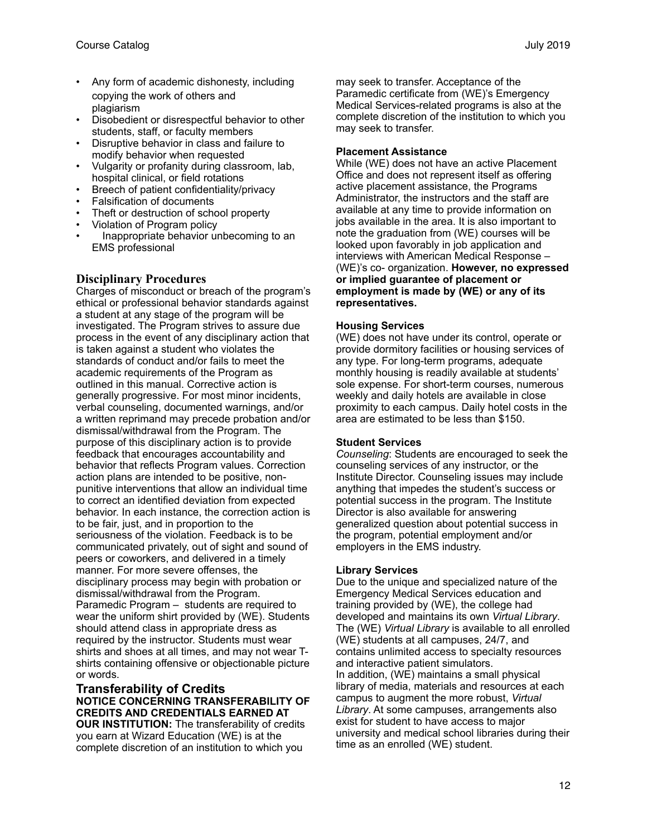- Any form of academic dishonesty, including copying the work of others and plagiarism
- Disobedient or disrespectful behavior to other students, staff, or faculty members
- Disruptive behavior in class and failure to modify behavior when requested
- Vulgarity or profanity during classroom, lab, hospital clinical, or field rotations
- Breech of patient confidentiality/privacy
- Falsification of documents
- Theft or destruction of school property
- Violation of Program policy
- Inappropriate behavior unbecoming to an EMS professional

## **Disciplinary Procedures**

Charges of misconduct or breach of the program's ethical or professional behavior standards against a student at any stage of the program will be investigated. The Program strives to assure due process in the event of any disciplinary action that is taken against a student who violates the standards of conduct and/or fails to meet the academic requirements of the Program as outlined in this manual. Corrective action is generally progressive. For most minor incidents, verbal counseling, documented warnings, and/or a written reprimand may precede probation and/or dismissal/withdrawal from the Program. The purpose of this disciplinary action is to provide feedback that encourages accountability and behavior that reflects Program values. Correction action plans are intended to be positive, nonpunitive interventions that allow an individual time to correct an identified deviation from expected behavior. In each instance, the correction action is to be fair, just, and in proportion to the seriousness of the violation. Feedback is to be communicated privately, out of sight and sound of peers or coworkers, and delivered in a timely manner. For more severe offenses, the disciplinary process may begin with probation or dismissal/withdrawal from the Program. Paramedic Program – students are required to wear the uniform shirt provided by (WE). Students should attend class in appropriate dress as required by the instructor. Students must wear shirts and shoes at all times, and may not wear Tshirts containing offensive or objectionable picture or words.

#### **Transferability of Credits NOTICE CONCERNING TRANSFERABILITY OF CREDITS AND CREDENTIALS EARNED AT OUR INSTITUTION:** The transferability of credits you earn at Wizard Education (WE) is at the

complete discretion of an institution to which you

may seek to transfer. Acceptance of the Paramedic certificate from (WE)'s Emergency Medical Services-related programs is also at the complete discretion of the institution to which you may seek to transfer.

## **Placement Assistance**

While (WE) does not have an active Placement Office and does not represent itself as offering active placement assistance, the Programs Administrator, the instructors and the staff are available at any time to provide information on jobs available in the area. It is also important to note the graduation from (WE) courses will be looked upon favorably in job application and interviews with American Medical Response – (WE)'s co- organization. **However, no expressed or implied guarantee of placement or employment is made by (WE) or any of its representatives.** 

## **Housing Services**

(WE) does not have under its control, operate or provide dormitory facilities or housing services of any type. For long-term programs, adequate monthly housing is readily available at students' sole expense. For short-term courses, numerous weekly and daily hotels are available in close proximity to each campus. Daily hotel costs in the area are estimated to be less than \$150.

## **Student Services**

*Counseling*: Students are encouraged to seek the counseling services of any instructor, or the Institute Director. Counseling issues may include anything that impedes the student's success or potential success in the program. The Institute Director is also available for answering generalized question about potential success in the program, potential employment and/or employers in the EMS industry.

## **Library Services**

Due to the unique and specialized nature of the Emergency Medical Services education and training provided by (WE), the college had developed and maintains its own *Virtual Library*. The (WE) *Virtual Library* is available to all enrolled (WE) students at all campuses, 24/7, and contains unlimited access to specialty resources and interactive patient simulators. In addition, (WE) maintains a small physical library of media, materials and resources at each campus to augment the more robust, *Virtual Library*. At some campuses, arrangements also exist for student to have access to major university and medical school libraries during their time as an enrolled (WE) student.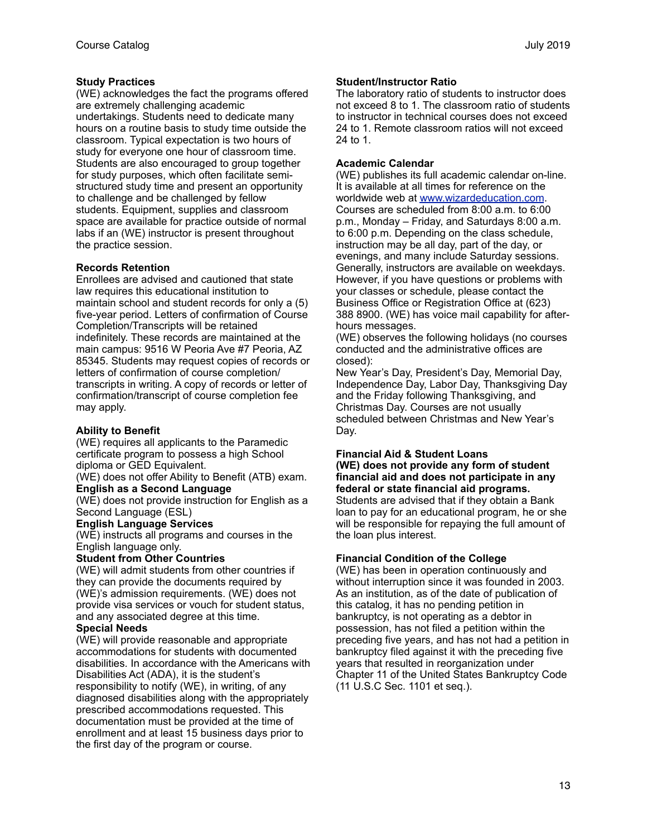## **Study Practices**

(WE) acknowledges the fact the programs offered are extremely challenging academic undertakings. Students need to dedicate many hours on a routine basis to study time outside the classroom. Typical expectation is two hours of study for everyone one hour of classroom time. Students are also encouraged to group together for study purposes, which often facilitate semistructured study time and present an opportunity to challenge and be challenged by fellow students. Equipment, supplies and classroom space are available for practice outside of normal labs if an (WE) instructor is present throughout the practice session.

## **Records Retention**

Enrollees are advised and cautioned that state law requires this educational institution to maintain school and student records for only a (5) five-year period. Letters of confirmation of Course Completion/Transcripts will be retained indefinitely. These records are maintained at the main campus: 9516 W Peoria Ave #7 Peoria, AZ 85345. Students may request copies of records or letters of confirmation of course completion/ transcripts in writing. A copy of records or letter of confirmation/transcript of course completion fee may apply.

## **Ability to Benefit**

(WE) requires all applicants to the Paramedic certificate program to possess a high School diploma or GED Equivalent.

(WE) does not offer Ability to Benefit (ATB) exam. **English as a Second Language** 

(WE) does not provide instruction for English as a Second Language (ESL)

#### **English Language Services**

(WE) instructs all programs and courses in the English language only.

## **Student from Other Countries**

(WE) will admit students from other countries if they can provide the documents required by (WE)'s admission requirements. (WE) does not provide visa services or vouch for student status, and any associated degree at this time.

## **Special Needs**

(WE) will provide reasonable and appropriate accommodations for students with documented disabilities. In accordance with the Americans with Disabilities Act (ADA), it is the student's responsibility to notify (WE), in writing, of any diagnosed disabilities along with the appropriately prescribed accommodations requested. This documentation must be provided at the time of enrollment and at least 15 business days prior to the first day of the program or course.

#### **Student/Instructor Ratio**

The laboratory ratio of students to instructor does not exceed 8 to 1. The classroom ratio of students to instructor in technical courses does not exceed 24 to 1. Remote classroom ratios will not exceed 24 to 1.

#### **Academic Calendar**

(WE) publishes its full academic calendar on-line. It is available at all times for reference on the worldwide web at [www.wizardeducation.com](http://www.NCTI.edu). Courses are scheduled from 8:00 a.m. to 6:00 p.m., Monday – Friday, and Saturdays 8:00 a.m. to 6:00 p.m. Depending on the class schedule, instruction may be all day, part of the day, or evenings, and many include Saturday sessions. Generally, instructors are available on weekdays. However, if you have questions or problems with your classes or schedule, please contact the Business Office or Registration Office at (623) 388 8900. (WE) has voice mail capability for afterhours messages.

(WE) observes the following holidays (no courses conducted and the administrative offices are closed):

New Year's Day, President's Day, Memorial Day, Independence Day, Labor Day, Thanksgiving Day and the Friday following Thanksgiving, and Christmas Day. Courses are not usually scheduled between Christmas and New Year's Day.

## **Financial Aid & Student Loans**

**(WE) does not provide any form of student financial aid and does not participate in any federal or state financial aid programs.**  Students are advised that if they obtain a Bank loan to pay for an educational program, he or she

will be responsible for repaying the full amount of the loan plus interest.

## **Financial Condition of the College**

(WE) has been in operation continuously and without interruption since it was founded in 2003. As an institution, as of the date of publication of this catalog, it has no pending petition in bankruptcy, is not operating as a debtor in possession, has not filed a petition within the preceding five years, and has not had a petition in bankruptcy filed against it with the preceding five years that resulted in reorganization under Chapter 11 of the United States Bankruptcy Code (11 U.S.C Sec. 1101 et seq.).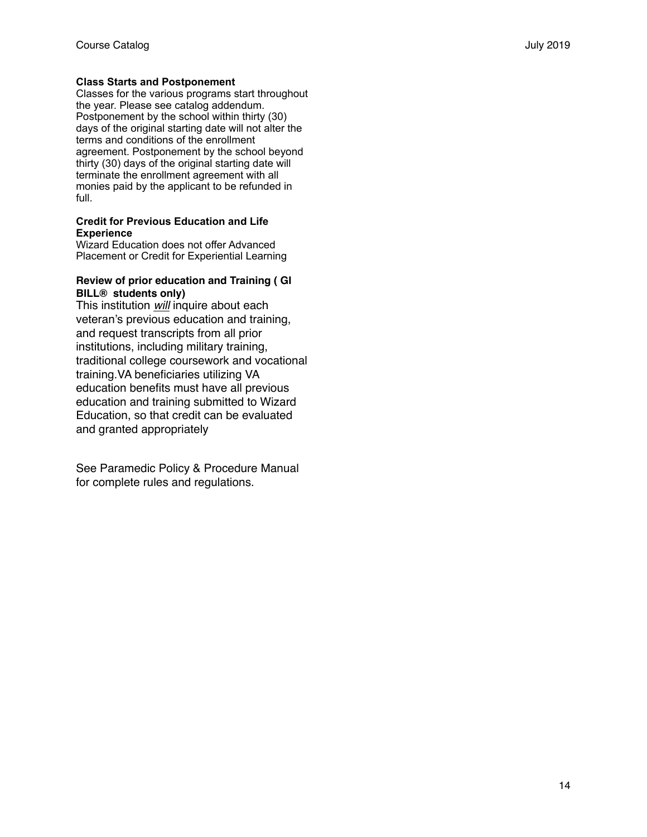## **Class Starts and Postponement**

Classes for the various programs start throughout the year. Please see catalog addendum. Postponement by the school within thirty (30) days of the original starting date will not alter the terms and conditions of the enrollment agreement. Postponement by the school beyond thirty (30) days of the original starting date will terminate the enrollment agreement with all monies paid by the applicant to be refunded in full.

#### **Credit for Previous Education and Life Experience**

Wizard Education does not offer Advanced Placement or Credit for Experiential Learning

#### **Review of prior education and Training ( GI BILL® students only)**

This institution *will* inquire about each veteran's previous education and training, and request transcripts from all prior institutions, including military training, traditional college coursework and vocational training.VA beneficiaries utilizing VA education benefits must have all previous education and training submitted to Wizard Education, so that credit can be evaluated and granted appropriately

See Paramedic Policy & Procedure Manual for complete rules and regulations.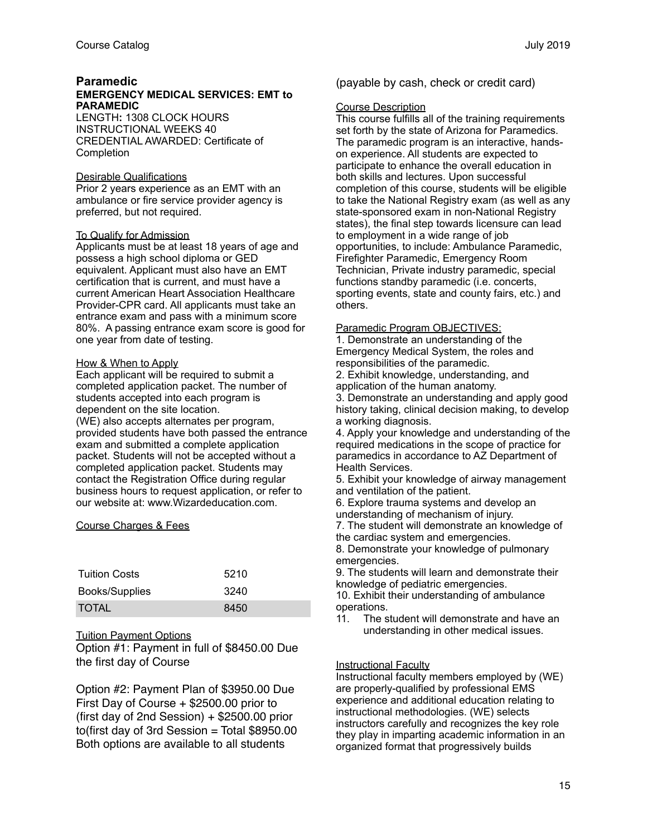#### **Paramedic EMERGENCY MEDICAL SERVICES: EMT to PARAMEDIC**

LENGTH**:** 1308 CLOCK HOURS INSTRUCTIONAL WEEKS 40 CREDENTIAL AWARDED: Certificate of **Completion** 

#### Desirable Qualifications

Prior 2 years experience as an EMT with an ambulance or fire service provider agency is preferred, but not required.

#### To Qualify for Admission

Applicants must be at least 18 years of age and possess a high school diploma or GED equivalent. Applicant must also have an EMT certification that is current, and must have a current American Heart Association Healthcare Provider-CPR card. All applicants must take an entrance exam and pass with a minimum score 80%. A passing entrance exam score is good for one year from date of testing.

## How & When to Apply

Each applicant will be required to submit a completed application packet. The number of students accepted into each program is dependent on the site location. (WE) also accepts alternates per program, provided students have both passed the entrance exam and submitted a complete application packet. Students will not be accepted without a completed application packet. Students may contact the Registration Office during regular business hours to request application, or refer to our website at: www.Wizardeducation.com.

## Course Charges & Fees

| <b>Tuition Costs</b> | 5210 |
|----------------------|------|
| Books/Supplies       | 3240 |
| <b>TOTAL</b>         | 8450 |

## Tuition Payment Options

Option #1: Payment in full of \$8450.00 Due the first day of Course

Option #2: Payment Plan of \$3950.00 Due First Day of Course + \$2500.00 prior to (first day of 2nd Session) + \$2500.00 prior to(first day of 3rd Session = Total  $$8950.00$ Both options are available to all students

(payable by cash, check or credit card)

#### Course Description

This course fulfills all of the training requirements set forth by the state of Arizona for Paramedics. The paramedic program is an interactive, handson experience. All students are expected to participate to enhance the overall education in both skills and lectures. Upon successful completion of this course, students will be eligible to take the National Registry exam (as well as any state-sponsored exam in non-National Registry states), the final step towards licensure can lead to employment in a wide range of job opportunities, to include: Ambulance Paramedic, Firefighter Paramedic, Emergency Room Technician, Private industry paramedic, special functions standby paramedic (i.e. concerts, sporting events, state and county fairs, etc.) and others.

#### Paramedic Program OBJECTIVES:

1. Demonstrate an understanding of the Emergency Medical System, the roles and responsibilities of the paramedic.

2. Exhibit knowledge, understanding, and application of the human anatomy.

3. Demonstrate an understanding and apply good history taking, clinical decision making, to develop a working diagnosis.

4. Apply your knowledge and understanding of the required medications in the scope of practice for paramedics in accordance to AZ Department of Health Services.

5. Exhibit your knowledge of airway management and ventilation of the patient.

6. Explore trauma systems and develop an understanding of mechanism of injury.

7. The student will demonstrate an knowledge of the cardiac system and emergencies.

8. Demonstrate your knowledge of pulmonary emergencies.

9. The students will learn and demonstrate their knowledge of pediatric emergencies.

10. Exhibit their understanding of ambulance operations.

11. The student will demonstrate and have an understanding in other medical issues.

## Instructional Faculty

Instructional faculty members employed by (WE) are properly-qualified by professional EMS experience and additional education relating to instructional methodologies. (WE) selects instructors carefully and recognizes the key role they play in imparting academic information in an organized format that progressively builds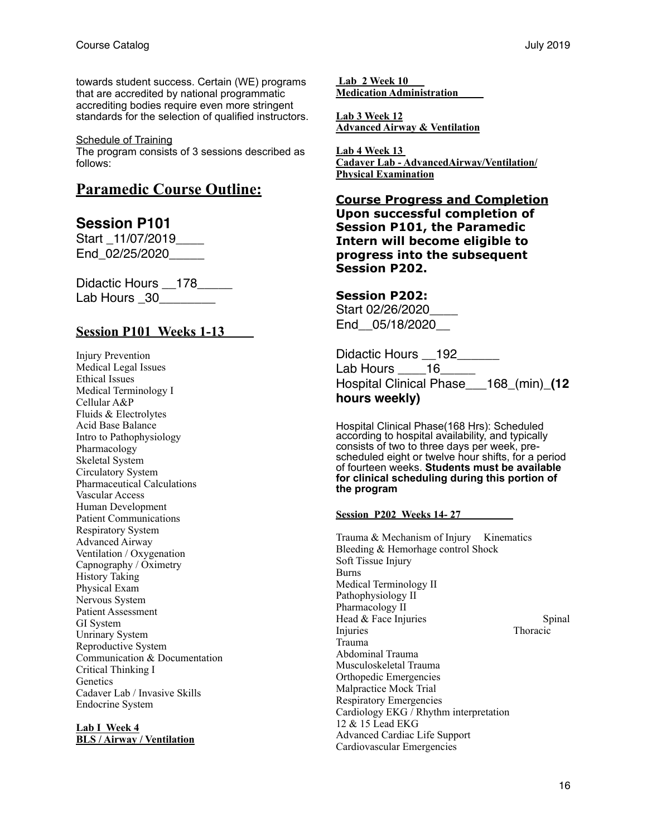towards student success. Certain (WE) programs that are accredited by national programmatic accrediting bodies require even more stringent standards for the selection of qualified instructors.

Schedule of Training

The program consists of 3 sessions described as follows:

## **Paramedic Course Outline:**

## **Session P101**

Start \_11/07/2019\_\_\_\_ End\_02/25/2020

Didactic Hours \_\_178\_\_\_\_\_ Lab Hours 30

## **Session P101 Weeks 1-13**

Injury Prevention Medical Legal Issues Ethical Issues Medical Terminology I Cellular A&P Fluids & Electrolytes Acid Base Balance Intro to Pathophysiology Pharmacology Skeletal System Circulatory System Pharmaceutical Calculations Vascular Access Human Development Patient Communications Respiratory System Advanced Airway Ventilation / Oxygenation Capnography / Oximetry History Taking Physical Exam Nervous System Patient Assessment GI System Unrinary System Reproductive System Communication & Documentation Critical Thinking I **Genetics** Cadaver Lab / Invasive Skills Endocrine System

#### **Lab I Week 4 BLS / Airway / Ventilation**

 **Lab 2 Week 10 Medication Administration** 

**Lab 3 Week 12 Advanced Airway & Ventilation**

**Lab 4 Week 13 Cadaver Lab - AdvancedAirway/Ventilation/ Physical Examination**

**Course Progress and Completion Upon successful completion of Session P101, the Paramedic Intern will become eligible to progress into the subsequent Session P202.** 

## **Session P202:**

Start 02/26/2020\_\_\_\_ End\_\_05/18/2020\_\_

Didactic Hours \_\_192\_\_\_\_\_\_ Lab Hours 16 Hospital Clinical Phase\_\_\_168\_(min)\_**(12 hours weekly)**

Hospital Clinical Phase(168 Hrs): Scheduled according to hospital availability, and typically consists of two to three days per week, prescheduled eight or twelve hour shifts, for a period of fourteen weeks. **Students must be available for clinical scheduling during this portion of the program**

## **Session P202 Weeks 14- 27**

Trauma & Mechanism of Injury Kinematics Bleeding & Hemorhage control Shock Soft Tissue Injury **Burns** Medical Terminology II Pathophysiology II Pharmacology II Head & Face Injuries Spinal Injuries Thoracic Trauma Abdominal Trauma Musculoskeletal Trauma Orthopedic Emergencies Malpractice Mock Trial Respiratory Emergencies Cardiology EKG / Rhythm interpretation 12 & 15 Lead EKG Advanced Cardiac Life Support Cardiovascular Emergencies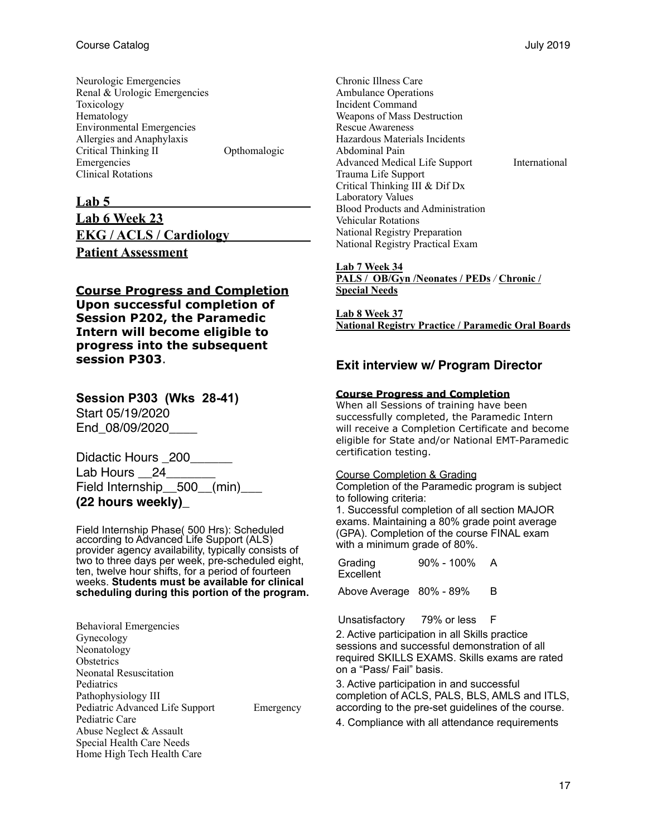| Neurologic Emergencies           |              |
|----------------------------------|--------------|
| Renal & Urologic Emergencies     |              |
| Toxicology                       |              |
| Hematology                       |              |
| <b>Environmental Emergencies</b> |              |
| Allergies and Anaphylaxis        |              |
| Critical Thinking II             | Opthomalogic |
| Emergencies                      |              |
| <b>Clinical Rotations</b>        |              |

## **Lab 5**

**Lab 6 Week 23 EKG / ACLS / Cardiology Patient Assessment** 

## **Course Progress and Completion Upon successful completion of Session P202, the Paramedic Intern will become eligible to progress into the subsequent session P303**.

**Session P303 (Wks 28-41)**  Start 05/19/2020 End\_08/09/2020

Didactic Hours \_200\_\_\_\_\_\_ Lab Hours 24 Field Internship\_\_500\_\_(min)\_\_**\_ (22 hours weekly)\_**

Field Internship Phase( 500 Hrs): Scheduled according to Advanced Life Support (ALS) provider agency availability, typically consists of two to three days per week, pre-scheduled eight, ten, twelve hour shifts, for a period of fourteen weeks. **Students must be available for clinical scheduling during this portion of the program.**

Behavioral Emergencies Gynecology Neonatology **Obstetrics** Neonatal Resuscitation Pediatrics Pathophysiology III Pediatric Advanced Life Support Emergency Pediatric Care Abuse Neglect & Assault Special Health Care Needs Home High Tech Health Care

Chronic Illness Care Ambulance Operations Incident Command Weapons of Mass Destruction Rescue Awareness Hazardous Materials Incidents Abdominal Pain Advanced Medical Life Support International Trauma Life Support Critical Thinking III & Dif Dx Laboratory Values Blood Products and Administration Vehicular Rotations National Registry Preparation National Registry Practical Exam

#### **Lab 7 Week 34**

**PALS / OB/Gyn /Neonates / PEDs** */* **Chronic / Special Needs**

**Lab 8 Week 37 National Registry Practice / Paramedic Oral Boards**

## **Exit interview w/ Program Director**

#### **Course Progress and Completion**

When all Sessions of training have been successfully completed, the Paramedic Intern will receive a Completion Certificate and become eligible for State and/or National EMT-Paramedic certification testing.

Course Completion & Grading

Completion of the Paramedic program is subject to following criteria:

1. Successful completion of all section MAJOR exams. Maintaining a 80% grade point average (GPA). Completion of the course FINAL exam with a minimum grade of 80%.

Grading **Excellent** 90% - 100% A

Above Average 80% - 89% B

Unsatisfactory 79% or less F

2. Active participation in all Skills practice sessions and successful demonstration of all required SKILLS EXAMS. Skills exams are rated on a "Pass/ Fail" basis.

3. Active participation in and successful completion of ACLS, PALS, BLS, AMLS and ITLS, according to the pre-set guidelines of the course.

4. Compliance with all attendance requirements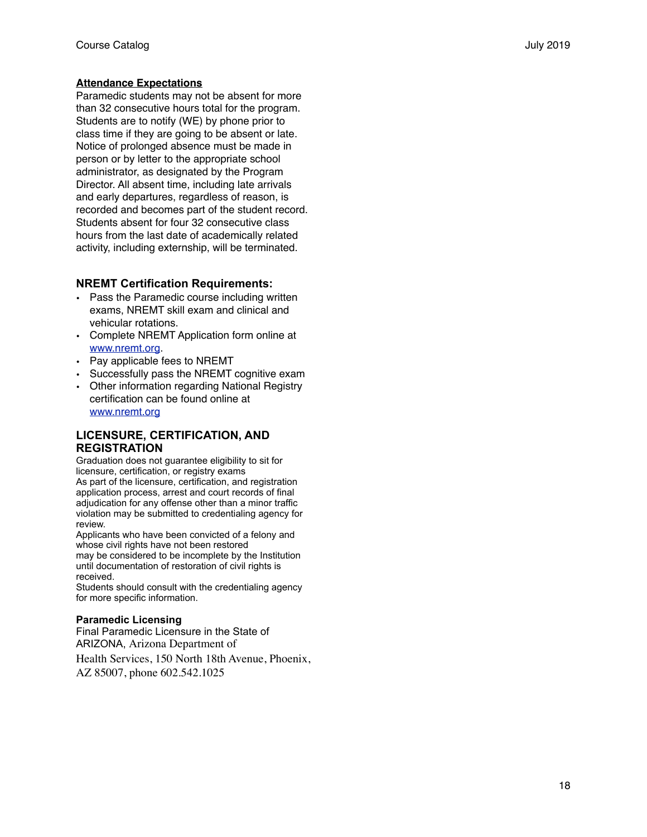## **Attendance Expectations**

Paramedic students may not be absent for more than 32 consecutive hours total for the program. Students are to notify (WE) by phone prior to class time if they are going to be absent or late. Notice of prolonged absence must be made in person or by letter to the appropriate school administrator, as designated by the Program Director. All absent time, including late arrivals and early departures, regardless of reason, is recorded and becomes part of the student record. Students absent for four 32 consecutive class hours from the last date of academically related activity, including externship, will be terminated.

## **NREMT Certification Requirements:**

- Pass the Paramedic course including written exams, NREMT skill exam and clinical and vehicular rotations.
- Complete NREMT Application form online at [www.nremt.org.](http://www.nremt.org)
- [Pay applicable fees to NREMT](http://www.nremt.org)
- [Successfully pass the NREMT cognitive exam](http://www.nremt.org)
- [Other information regarding National Registry](http://www.nremt.org)  [certification can be found online at](http://www.nremt.org)  [www.nremt.org](http://www.nremt.org)

## **LICENSURE, CERTIFICATION, AND REGISTRATION**

Graduation does not guarantee eligibility to sit for licensure, certification, or registry exams As part of the licensure, certification, and registration application process, arrest and court records of final adjudication for any offense other than a minor traffic violation may be submitted to credentialing agency for review.

Applicants who have been convicted of a felony and whose civil rights have not been restored may be considered to be incomplete by the Institution until documentation of restoration of civil rights is received.

Students should consult with the credentialing agency for more specific information.

#### **Paramedic Licensing**

Final Paramedic Licensure in the State of ARIZONA, Arizona Department of

Health Services, 150 North 18th Avenue, Phoenix, AZ 85007, phone 602.542.1025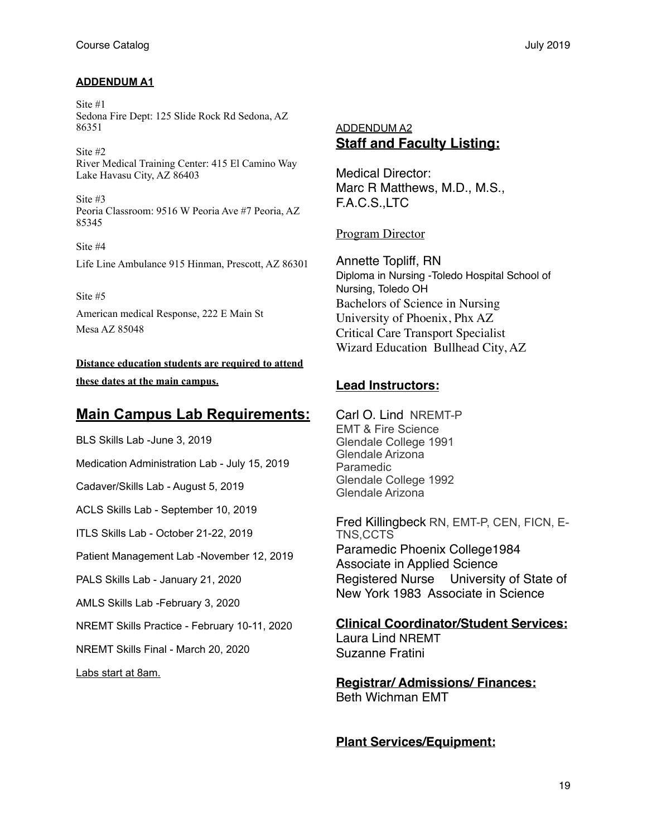## **ADDENDUM A1**

Site #1 Sedona Fire Dept: 125 Slide Rock Rd Sedona, AZ 86351

Site #2 River Medical Training Center: 415 El Camino Way Lake Havasu City, AZ 86403

Site #3 Peoria Classroom: 9516 W Peoria Ave #7 Peoria, AZ 85345

Site #4 Life Line Ambulance 915 Hinman, Prescott, AZ 86301

Site #5 American medical Response, 222 E Main St Mesa AZ 85048

**Distance education students are required to attend these dates at the main campus.** 

## **Main Campus Lab Requirements:**

BLS Skills Lab -June 3, 2019 Medication Administration Lab - July 15, 2019 Cadaver/Skills Lab - August 5, 2019

ACLS Skills Lab - September 10, 2019

ITLS Skills Lab - October 21-22, 2019

Patient Management Lab -November 12, 2019

PALS Skills Lab - January 21, 2020

AMLS Skills Lab -February 3, 2020

NREMT Skills Practice - February 10-11, 2020

NREMT Skills Final - March 20, 2020

Labs start at 8am.

## ADDENDUM A2 **Staff and Faculty Listing:**

Medical Director: Marc R Matthews, M.D., M.S., F.A.C.S.,LTC

Program Director

Annette Topliff, RN Diploma in Nursing -Toledo Hospital School of Nursing, Toledo OH Bachelors of Science in Nursing University of Phoenix, Phx AZ Critical Care Transport Specialist Wizard Education Bullhead City, AZ

## **Lead Instructors:**

Carl O. Lind NREMT-P EMT & Fire Science Glendale College 1991 Glendale Arizona Paramedic Glendale College 1992 Glendale Arizona

Fred Killingbeck RN, EMT-P, CEN, FICN, E-TNS,CCTS Paramedic Phoenix College1984 Associate in Applied Science Registered Nurse University of State of New York 1983 Associate in Science

**Clinical Coordinator/Student Services:**

Laura Lind NREMT Suzanne Fratini

**Registrar/ Admissions/ Finances:** Beth Wichman EMT

**Plant Services/Equipment:**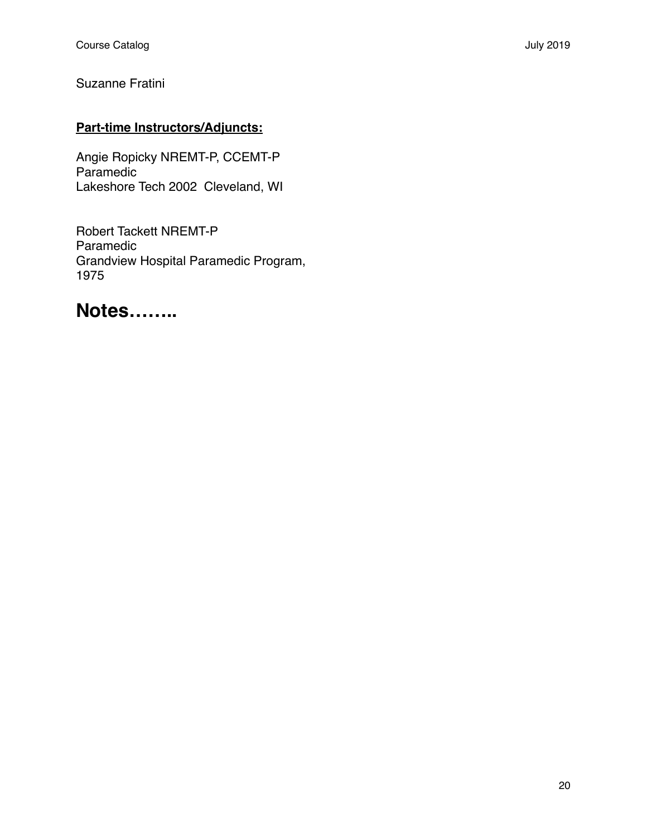Suzanne Fratini

## **Part-time Instructors/Adjuncts:**

Angie Ropicky NREMT-P, CCEMT-P Paramedic Lakeshore Tech 2002 Cleveland, WI

Robert Tackett NREMT-P Paramedic Grandview Hospital Paramedic Program, 1975

# **Notes……..**